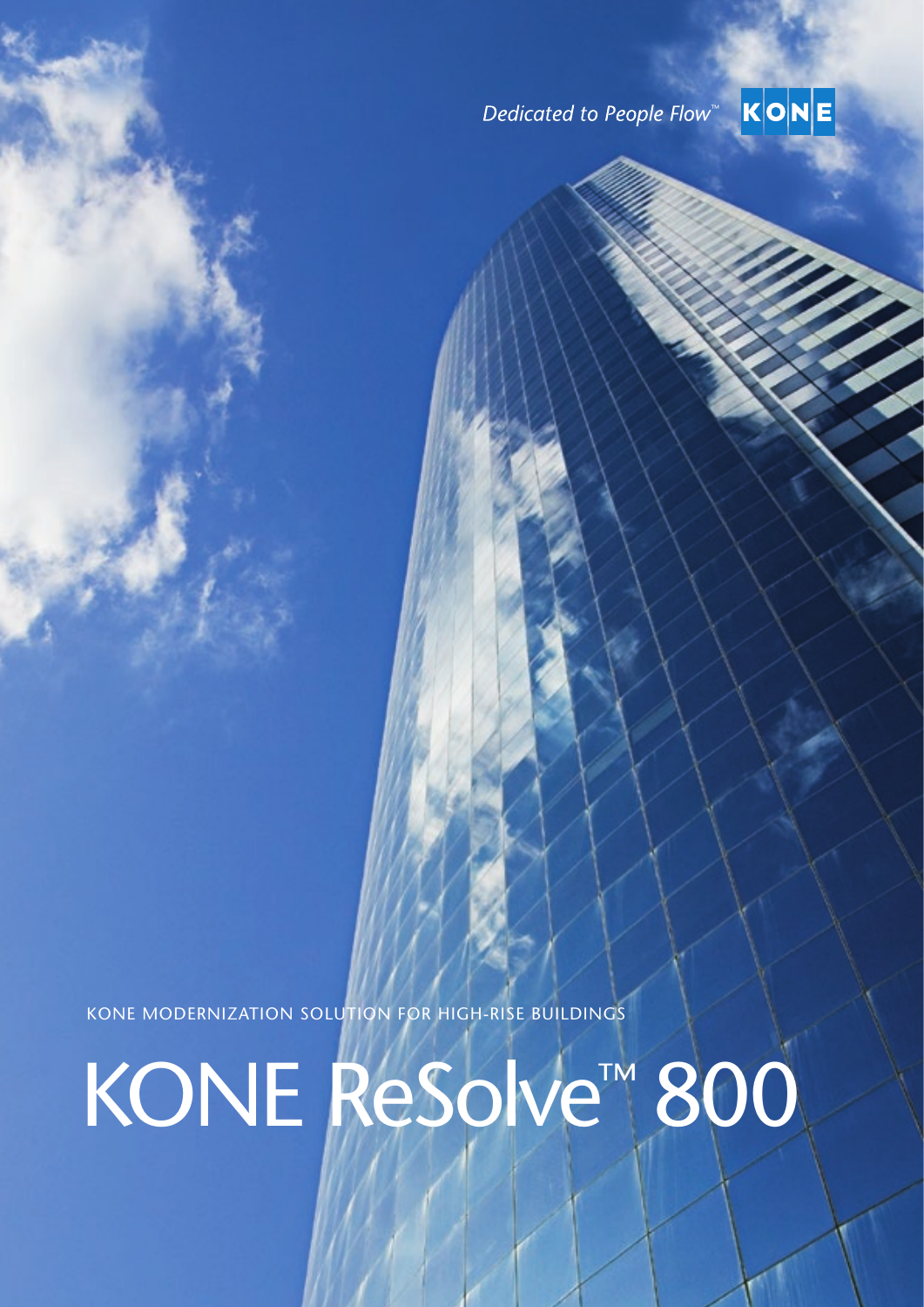# Dedicated to People Flow<sup>™</sup>



KONE MODERNIZATION SOLUTION FOR HIGH-RISE BUILDINGS KONE ReSolve™ 800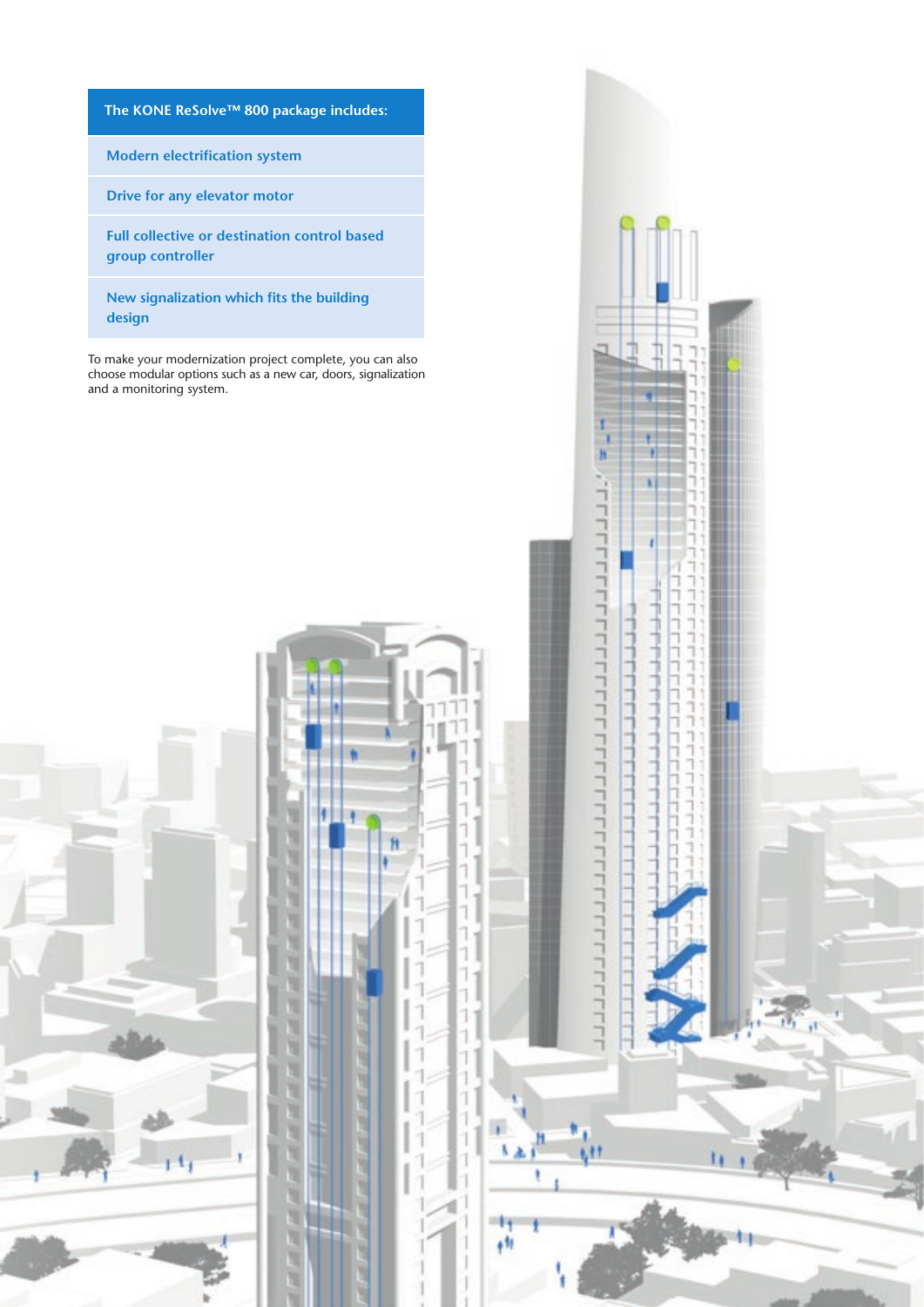**The KONE ReSolve™ 800 package includes:**

**Modern electrification system**

**Drive for any elevator motor**

2

**Full collective or destination control based group controller**

**New signalization which fits the building design**

To make your modernization project complete, you can also choose modular options such as a new car, doors, signalization and a monitoring system.

> **I** ٠

N N

H N

N

u

'n N

×

×

Ĥ

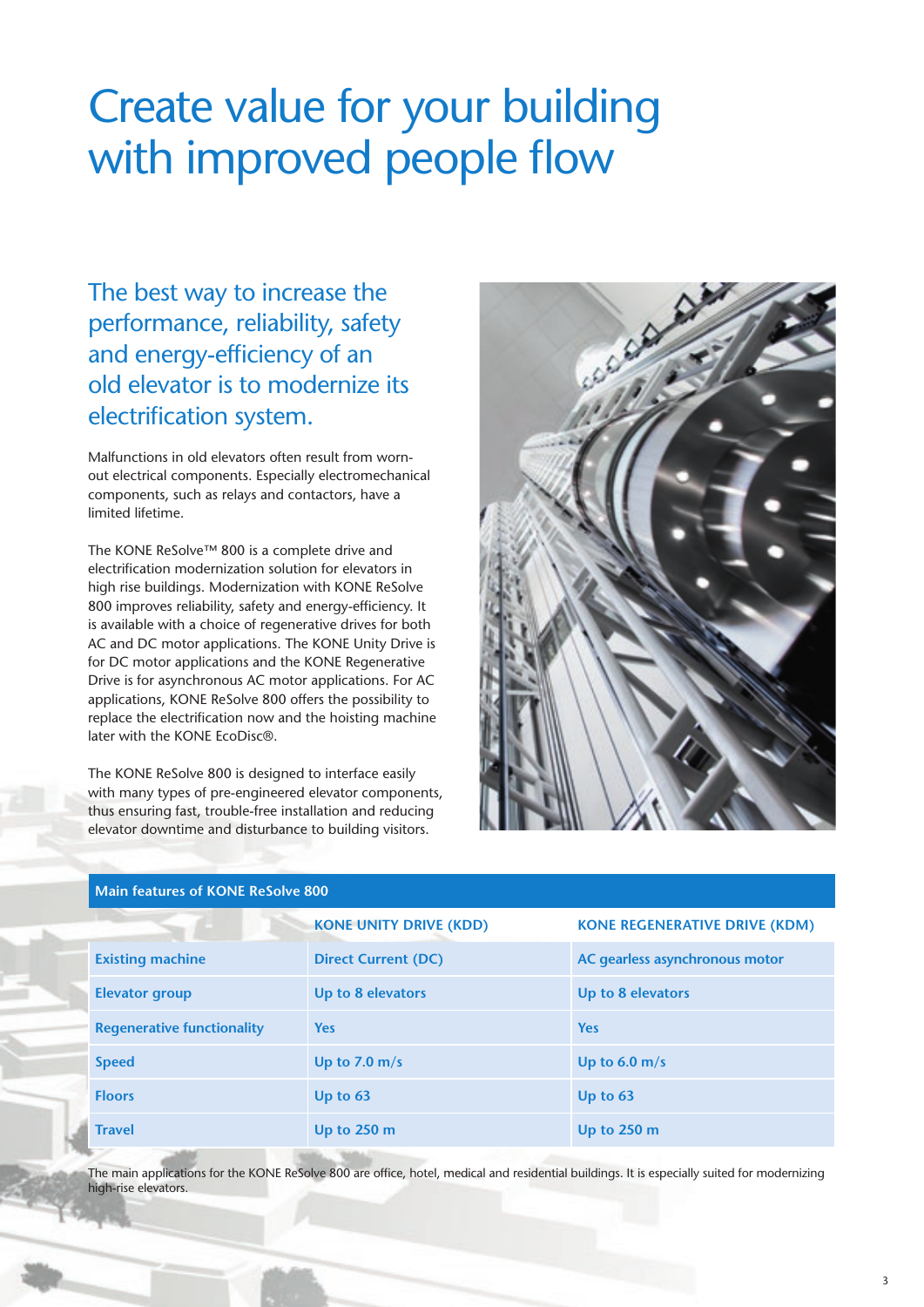# Create value for your building with improved people flow

The best way to increase the performance, reliability, safety and energy-efficiency of an old elevator is to modernize its electrification system.

Malfunctions in old elevators often result from wornout electrical components. Especially electromechanical components, such as relays and contactors, have a limited lifetime.

The KONE ReSolve™ 800 is a complete drive and electrification modernization solution for elevators in high rise buildings. Modernization with KONE ReSolve 800 improves reliability, safety and energy-efficiency. It is available with a choice of regenerative drives for both AC and DC motor applications. The KONE Unity Drive is for DC motor applications and the KONE Regenerative Drive is for asynchronous AC motor applications. For AC applications, KONE ReSolve 800 offers the possibility to replace the electrification now and the hoisting machine later with the KONE EcoDisc®.

The KONE ReSolve 800 is designed to interface easily with many types of pre-engineered elevator components, thus ensuring fast, trouble-free installation and reducing elevator downtime and disturbance to building visitors.



## **Main features of KONE ReSolve 800**

|                                   | <b>KONE UNITY DRIVE (KDD)</b> | <b>KONE REGENERATIVE DRIVE (KDM)</b> |
|-----------------------------------|-------------------------------|--------------------------------------|
| <b>Existing machine</b>           | <b>Direct Current (DC)</b>    | AC gearless asynchronous motor       |
| <b>Elevator group</b>             | Up to 8 elevators             | Up to 8 elevators                    |
| <b>Regenerative functionality</b> | <b>Yes</b>                    | <b>Yes</b>                           |
| <b>Speed</b>                      | Up to 7.0 $m/s$               | Up to $6.0 \text{ m/s}$              |
| <b>Floors</b>                     | Up to $63$                    | Up to $63$                           |
| <b>Travel</b>                     | Up to $250 \text{ m}$         | Up to 250 m                          |

The main applications for the KONE ReSolve 800 are office, hotel, medical and residential buildings. It is especially suited for modernizing high-rise elevators.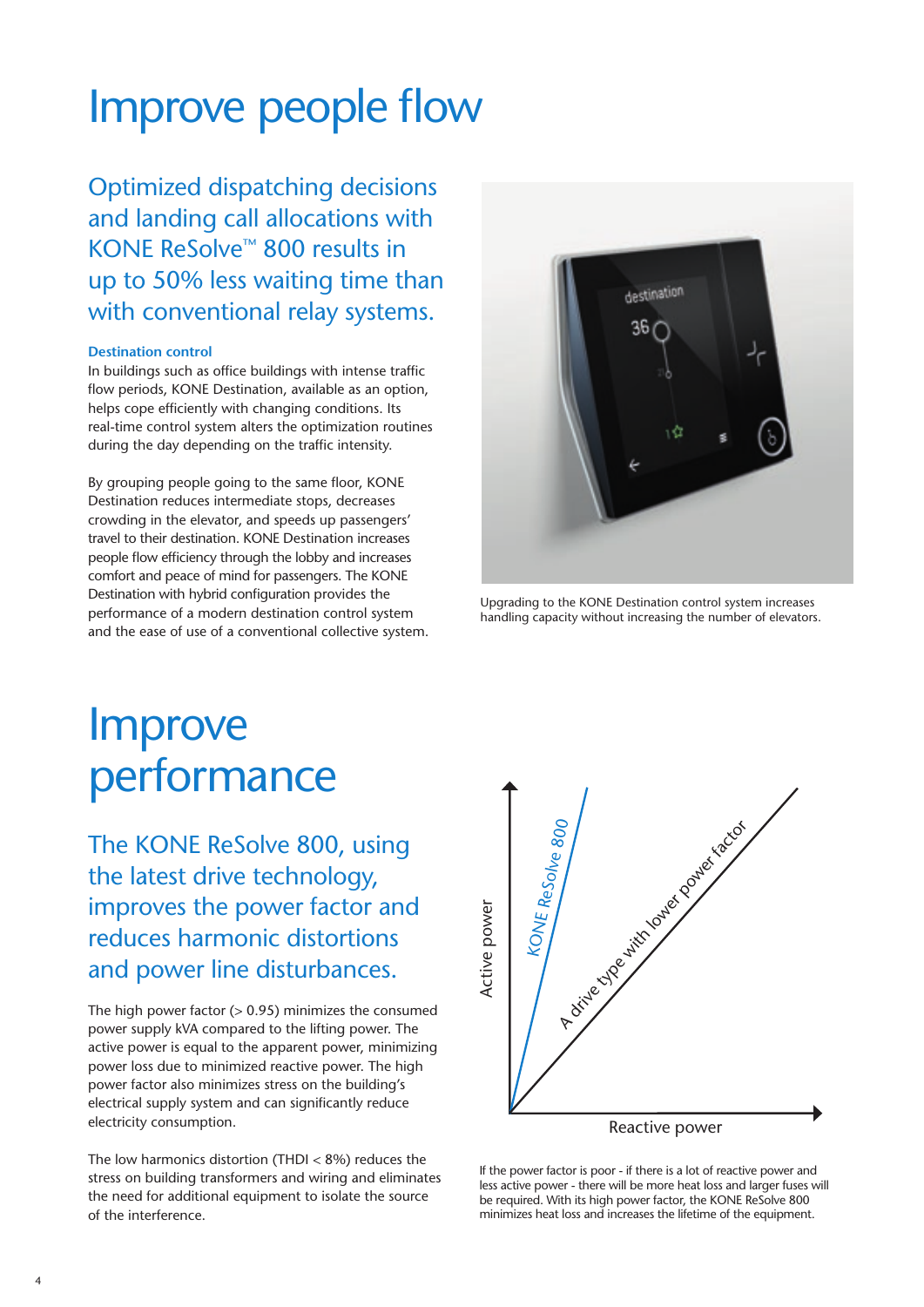# Improve people flow

Optimized dispatching decisions and landing call allocations with KONE ReSolve™ 800 results in up to 50% less waiting time than with conventional relay systems.

### **Destination control**

In buildings such as office buildings with intense traffic flow periods, KONE Destination, available as an option, helps cope efficiently with changing conditions. Its real-time control system alters the optimization routines during the day depending on the traffic intensity.

By grouping people going to the same floor, KONE Destination reduces intermediate stops, decreases crowding in the elevator, and speeds up passengers' travel to their destination. KONE Destination increases people flow efficiency through the lobby and increases comfort and peace of mind for passengers. The KONE Destination with hybrid configuration provides the performance of a modern destination control system and the ease of use of a conventional collective system.



Upgrading to the KONE Destination control system increases handling capacity without increasing the number of elevators.

# **Improve** performance

The KONE ReSolve 800, using the latest drive technology, improves the power factor and reduces harmonic distortions and power line disturbances.

The high power factor  $(> 0.95)$  minimizes the consumed power supply kVA compared to the lifting power. The active power is equal to the apparent power, minimizing power loss due to minimized reactive power. The high power factor also minimizes stress on the building's electrical supply system and can significantly reduce electricity consumption.

The low harmonics distortion (THDI < 8%) reduces the stress on building transformers and wiring and eliminates the need for additional equipment to isolate the source of the interference.



If the power factor is poor - if there is a lot of reactive power and less active power - there will be more heat loss and larger fuses will be required. With its high power factor, the KONE ReSolve 800 minimizes heat loss and increases the lifetime of the equipment.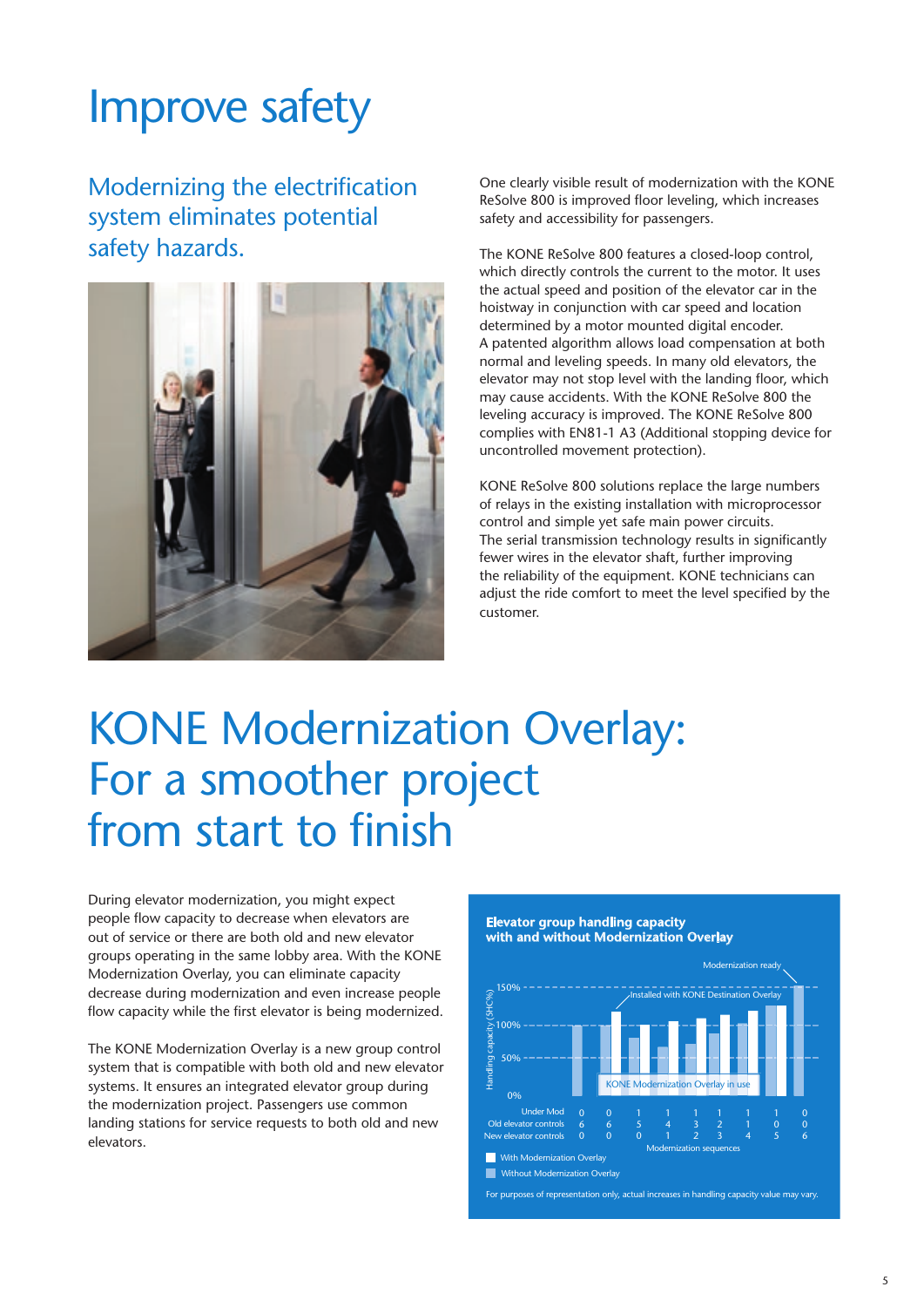# Improve safety

Modernizing the electrification system eliminates potential safety hazards.



One clearly visible result of modernization with the KONE ReSolve 800 is improved floor leveling, which increases safety and accessibility for passengers.

The KONE ReSolve 800 features a closed-loop control, which directly controls the current to the motor. It uses the actual speed and position of the elevator car in the hoistway in conjunction with car speed and location determined by a motor mounted digital encoder. A patented algorithm allows load compensation at both normal and leveling speeds. In many old elevators, the elevator may not stop level with the landing floor, which may cause accidents. With the KONE ReSolve 800 the leveling accuracy is improved. The KONE ReSolve 800 complies with EN81-1 A3 (Additional stopping device for uncontrolled movement protection).

KONE ReSolve 800 solutions replace the large numbers of relays in the existing installation with microprocessor control and simple yet safe main power circuits. The serial transmission technology results in significantly fewer wires in the elevator shaft, further improving the reliability of the equipment. KONE technicians can adjust the ride comfort to meet the level specified by the customer.

# KONE Modernization Overlay: For a smoother project from start to finish

During elevator modernization, you might expect people flow capacity to decrease when elevators are out of service or there are both old and new elevator groups operating in the same lobby area. With the KONE Modernization Overlay, you can eliminate capacity decrease during modernization and even increase people flow capacity while the first elevator is being modernized.

The KONE Modernization Overlay is a new group control system that is compatible with both old and new elevator systems. It ensures an integrated elevator group during the modernization project. Passengers use common landing stations for service requests to both old and new elevators.

**Elevator group handling capacity with and without Modernization Overlay** 

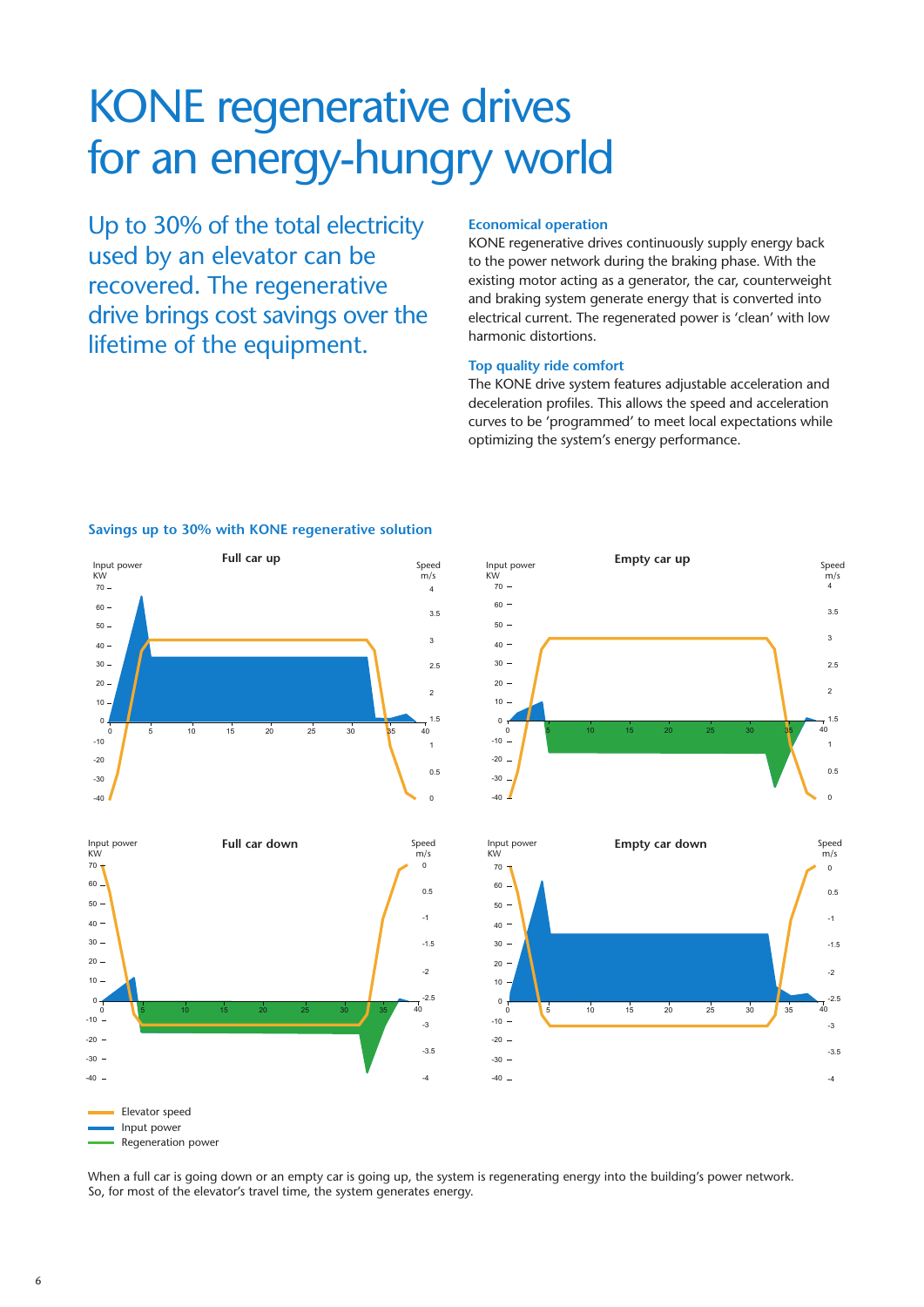# KONE regenerative drives for an energy-hungry world KONE regenerative drives 70 50 for an energy-hungry world 40 60

Up to 30% of the total electricity used by an elevator can be recovered. The regenerative drive brings cost savings over the lifetime of the equipment. can be considerable.

#### **Economical operation** omical operation

KONE regenerative drives continuously supply energy back to the power network during the braking phase. With the existing motor acting as a generator, the car, counterweight and braking system generate energy that is converted into electrical current. The regenerated power is 'clean' with low harmonic distortions. 1 -30 -10  $\overline{4}$ l I

#### Top quality ride comfort 70 50

The KONE drive system features adjustable acceleration and The NONE drive system reatures adjustable acceleration and<br>deceleration profiles. This allows the speed and acceleration curves to be 'programmed' to meet local expectations while optimizing the system's energy performance. receleration promes. This allows the speed and acceleration  $\overline{1}$ sleration profiles This allows the speed and acceleration es to be 'programmed' to meet local expectations while

### Savings up to 30% with KONE regenerative solution









Elevator speed Elevator speed <mark>Elevator</mark> spet 60

Input power

inpu<br>KW

 $0 - 1$ 10 -10

-10 -30 -20 - $-30 -40 -$ 

When a full car is going down or an empty car is going up, the system is regenerating energy into the building's power network.<br>-So, for most of the elevator's travel time, the system generates energy. When a full car is going down or an empty sar is going up the

Input power Regeneration power Regeneration power 70 50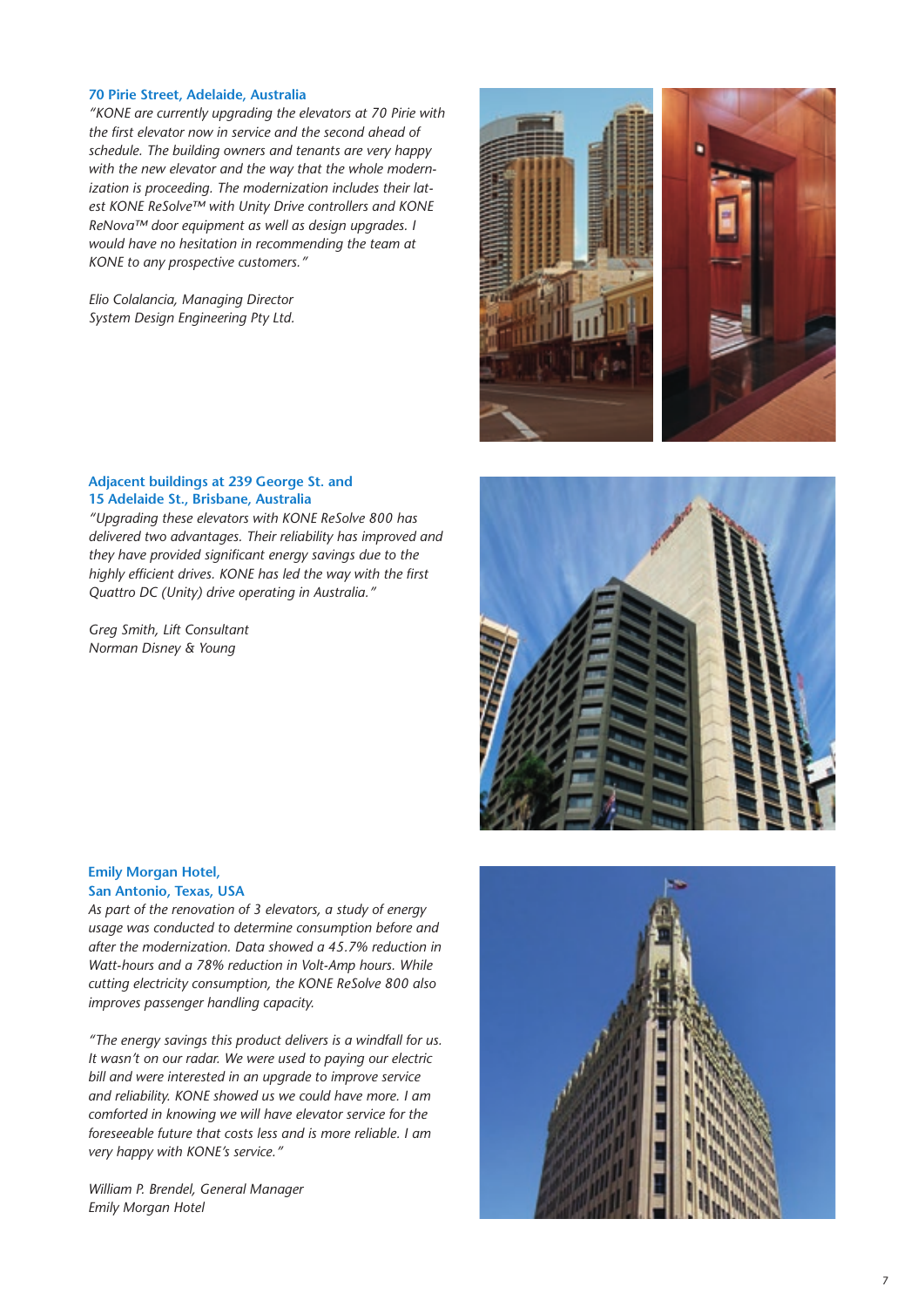### **70 Pirie Street, Adelaide, Australia**

*"KONE are currently upgrading the elevators at 70 Pirie with the first elevator now in service and the second ahead of schedule. The building owners and tenants are very happy with the new elevator and the way that the whole modernization is proceeding. The modernization includes their latest KONE ReSolve™ with Unity Drive controllers and KONE ReNova™ door equipment as well as design upgrades. I would have no hesitation in recommending the team at KONE to any prospective customers."*

*Elio Colalancia, Managing Director System Design Engineering Pty Ltd.*



### **Adjacent buildings at 239 George St. and 15 Adelaide St., Brisbane, Australia**

*"Upgrading these elevators with KONE ReSolve 800 has delivered two advantages. Their reliability has improved and they have provided significant energy savings due to the highly efficient drives. KONE has led the way with the first Quattro DC (Unity) drive operating in Australia."*

*Greg Smith, Lift Consultant Norman Disney & Young*

### **Emily Morgan Hotel, San Antonio, Texas, USA**

*As part of the renovation of 3 elevators, a study of energy usage was conducted to determine consumption before and after the modernization. Data showed a 45.7% reduction in Watt-hours and a 78% reduction in Volt-Amp hours. While cutting electricity consumption, the KONE ReSolve 800 also improves passenger handling capacity.* 

*"The energy savings this product delivers is a windfall for us. It wasn't on our radar. We were used to paying our electric bill and were interested in an upgrade to improve service and reliability. KONE showed us we could have more. I am comforted in knowing we will have elevator service for the foreseeable future that costs less and is more reliable. I am very happy with KONE's service."*

*William P. Brendel, General Manager Emily Morgan Hotel*